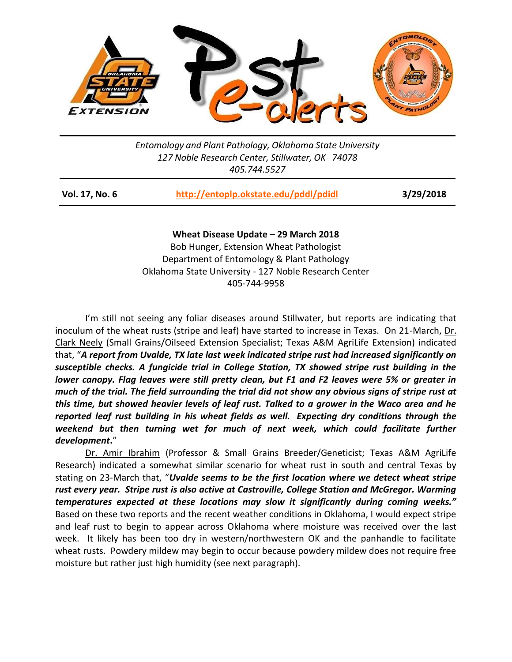

*Entomology and Plant Pathology, Oklahoma State University 127 Noble Research Center, Stillwater, OK 74078 405.744.5527*

| <b>Vol. 17, No. 6</b> | http://entoplp.okstate.edu/pddl/pdidl | 3/29/2018 |
|-----------------------|---------------------------------------|-----------|
|-----------------------|---------------------------------------|-----------|

**Wheat Disease Update – 29 March 2018**

Bob Hunger, Extension Wheat Pathologist Department of Entomology & Plant Pathology Oklahoma State University - 127 Noble Research Center 405-744-9958

I'm still not seeing any foliar diseases around Stillwater, but reports are indicating that inoculum of the wheat rusts (stripe and leaf) have started to increase in Texas. On 21-March, Dr. Clark Neely (Small Grains/Oilseed Extension Specialist; Texas A&M AgriLife Extension) indicated that, "*A report from Uvalde, TX late last week indicated stripe rust had increased significantly on susceptible checks. A fungicide trial in College Station, TX showed stripe rust building in the lower canopy. Flag leaves were still pretty clean, but F1 and F2 leaves were 5% or greater in much of the trial. The field surrounding the trial did not show any obvious signs of stripe rust at this time, but showed heavier levels of leaf rust. Talked to a grower in the Waco area and he reported leaf rust building in his wheat fields as well. Expecting dry conditions through the*  weekend but then turning wet for much of next week, which could facilitate further *development***.**"

Dr. Amir Ibrahim (Professor & Small Grains Breeder/Geneticist; Texas A&M AgriLife Research) indicated a somewhat similar scenario for wheat rust in south and central Texas by stating on 23-March that, "*Uvalde seems to be the first location where we detect wheat stripe rust every year. Stripe rust is also active at Castroville, College Station and McGregor. Warming temperatures expected at these locations may slow it significantly during coming weeks."*  Based on these two reports and the recent weather conditions in Oklahoma, I would expect stripe and leaf rust to begin to appear across Oklahoma where moisture was received over the last week. It likely has been too dry in western/northwestern OK and the panhandle to facilitate wheat rusts. Powdery mildew may begin to occur because powdery mildew does not require free moisture but rather just high humidity (see next paragraph).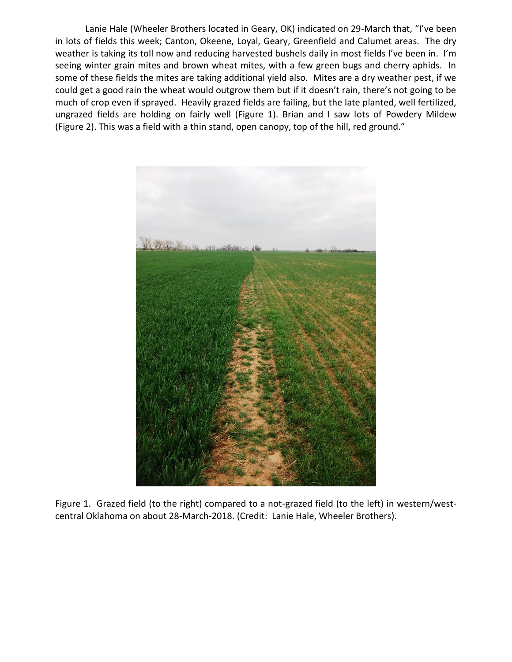Lanie Hale (Wheeler Brothers located in Geary, OK) indicated on 29-March that, "I've been in lots of fields this week; Canton, Okeene, Loyal, Geary, Greenfield and Calumet areas. The dry weather is taking its toll now and reducing harvested bushels daily in most fields I've been in. I'm seeing winter grain mites and brown wheat mites, with a few green bugs and cherry aphids. In some of these fields the mites are taking additional yield also. Mites are a dry weather pest, if we could get a good rain the wheat would outgrow them but if it doesn't rain, there's not going to be much of crop even if sprayed. Heavily grazed fields are failing, but the late planted, well fertilized, ungrazed fields are holding on fairly well (Figure 1). Brian and I saw lots of Powdery Mildew (Figure 2). This was a field with a thin stand, open canopy, top of the hill, red ground."



Figure 1. Grazed field (to the right) compared to a not-grazed field (to the left) in western/westcentral Oklahoma on about 28-March-2018. (Credit: Lanie Hale, Wheeler Brothers).